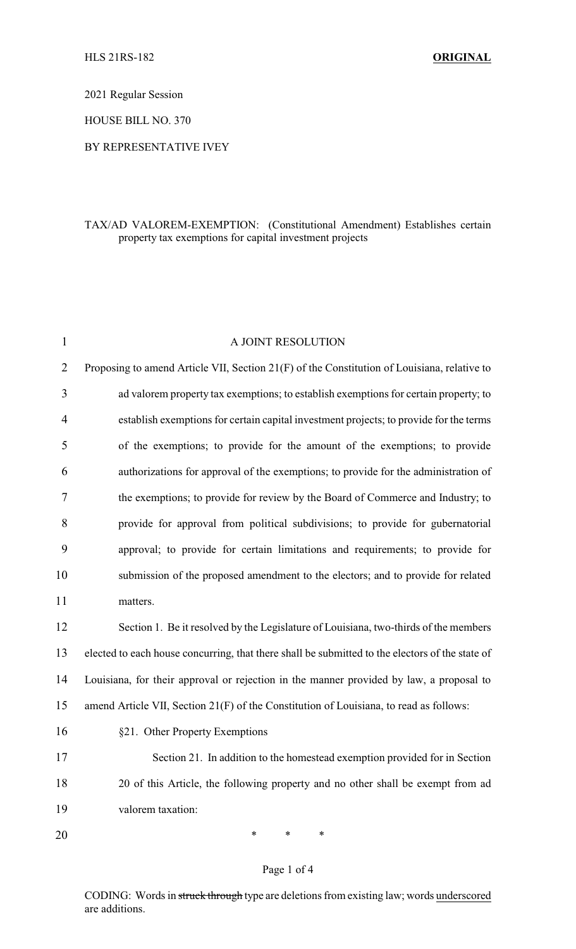2021 Regular Session

HOUSE BILL NO. 370

## BY REPRESENTATIVE IVEY

## TAX/AD VALOREM-EXEMPTION: (Constitutional Amendment) Establishes certain property tax exemptions for capital investment projects

| $\mathbf{1}$   | A JOINT RESOLUTION                                                                              |
|----------------|-------------------------------------------------------------------------------------------------|
| $\overline{2}$ | Proposing to amend Article VII, Section 21(F) of the Constitution of Louisiana, relative to     |
| 3              | ad valorem property tax exemptions; to establish exemptions for certain property; to            |
| 4              | establish exemptions for certain capital investment projects; to provide for the terms          |
| 5              | of the exemptions; to provide for the amount of the exemptions; to provide                      |
| 6              | authorizations for approval of the exemptions; to provide for the administration of             |
| 7              | the exemptions; to provide for review by the Board of Commerce and Industry; to                 |
| 8              | provide for approval from political subdivisions; to provide for gubernatorial                  |
| 9              | approval; to provide for certain limitations and requirements; to provide for                   |
| 10             | submission of the proposed amendment to the electors; and to provide for related                |
| 11             | matters.                                                                                        |
| 12             | Section 1. Be it resolved by the Legislature of Louisiana, two-thirds of the members            |
| 13             | elected to each house concurring, that there shall be submitted to the electors of the state of |
| 14             | Louisiana, for their approval or rejection in the manner provided by law, a proposal to         |
| 15             | amend Article VII, Section 21(F) of the Constitution of Louisiana, to read as follows:          |
| 16             | §21. Other Property Exemptions                                                                  |
| 17             | Section 21. In addition to the homestead exemption provided for in Section                      |
| 18             | 20 of this Article, the following property and no other shall be exempt from ad                 |
| 19             | valorem taxation:                                                                               |
| 20             | ∗<br>∗<br>∗                                                                                     |

## Page 1 of 4

CODING: Words in struck through type are deletions from existing law; words underscored are additions.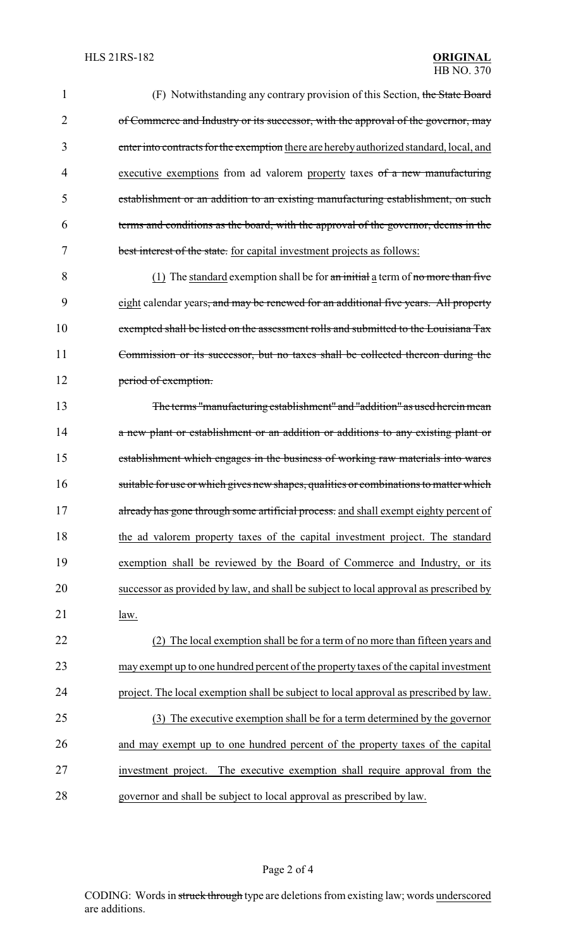| 1      | (F) Notwithstanding any contrary provision of this Section, the State Board                     |
|--------|-------------------------------------------------------------------------------------------------|
| 2      | of Commerce and Industry or its successor, with the approval of the governor, may               |
| 3      | enter into contracts for the exemption there are hereby authorized standard, local, and         |
| 4      | executive exemptions from ad valorem property taxes of a new manufacturing                      |
| 5      | establishment or an addition to an existing manufacturing establishment, on such                |
| 6      | terms and conditions as the board, with the approval of the governor, deems in the              |
| 7      | best interest of the state. for capital investment projects as follows:                         |
| 8      | $(1)$ The standard exemption shall be for an initial a term of no more than five                |
| 9      | eight calendar years <del>, and may be renewed for an additional five years. All property</del> |
| 10     | exempted shall be listed on the assessment rolls and submitted to the Louisiana Tax             |
| 11     | Commission or its successor, but no taxes shall be collected thereon during the                 |
| 12     | period of exemption.                                                                            |
| 13     | The terms "manufacturing establishment" and "addition" as used herein mean                      |
| 14     | a new plant or establishment or an addition or additions to any existing plant or               |
| 15     | establishment which engages in the business of working raw materials into wares                 |
| 16     | suitable for use or which gives new shapes, qualities or combinations to matter which           |
| 17     | already has gone through some artificial process. and shall exempt eighty percent of            |
| 18     | the ad valorem property taxes of the capital investment project. The standard                   |
| 19     | exemption shall be reviewed by the Board of Commerce and Industry, or its                       |
| 20     | successor as provided by law, and shall be subject to local approval as prescribed by           |
| 21     | law.                                                                                            |
| 22     | (2) The local exemption shall be for a term of no more than fifteen years and                   |
| 23     | may exempt up to one hundred percent of the property taxes of the capital investment            |
| 24     | project. The local exemption shall be subject to local approval as prescribed by law.           |
| 25     | (3) The executive exemption shall be for a term determined by the governor                      |
| 26     | and may exempt up to one hundred percent of the property taxes of the capital                   |
| 27     | investment project. The executive exemption shall require approval from the                     |
| $28\,$ | governor and shall be subject to local approval as prescribed by law.                           |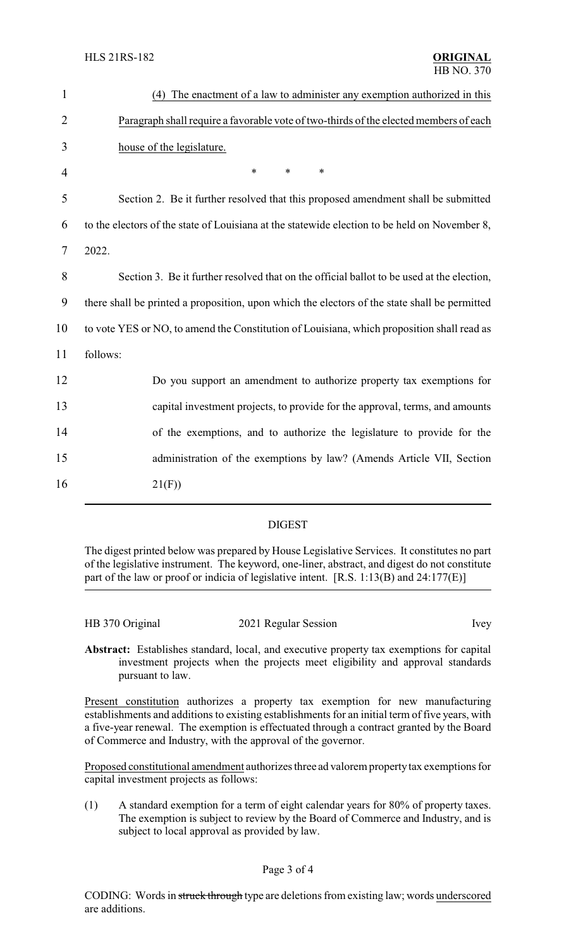| $\mathbf{1}$   | (4) The enactment of a law to administer any exemption authorized in this                     |
|----------------|-----------------------------------------------------------------------------------------------|
| $\overline{2}$ | Paragraph shall require a favorable vote of two-thirds of the elected members of each         |
| 3              | house of the legislature.                                                                     |
| $\overline{4}$ | $\ast$<br>$\ast$<br>$\ast$                                                                    |
| 5              | Section 2. Be it further resolved that this proposed amendment shall be submitted             |
| 6              | to the electors of the state of Louisiana at the statewide election to be held on November 8, |
| 7              | 2022.                                                                                         |
| 8              | Section 3. Be it further resolved that on the official ballot to be used at the election,     |
| 9              | there shall be printed a proposition, upon which the electors of the state shall be permitted |
| 10             | to vote YES or NO, to amend the Constitution of Louisiana, which proposition shall read as    |
| 11             | follows:                                                                                      |
| 12             | Do you support an amendment to authorize property tax exemptions for                          |
| 13             | capital investment projects, to provide for the approval, terms, and amounts                  |
| 14             | of the exemptions, and to authorize the legislature to provide for the                        |
| 15             | administration of the exemptions by law? (Amends Article VII, Section                         |
| 16             | 21(F)                                                                                         |
|                |                                                                                               |

## DIGEST

The digest printed below was prepared by House Legislative Services. It constitutes no part of the legislative instrument. The keyword, one-liner, abstract, and digest do not constitute part of the law or proof or indicia of legislative intent. [R.S. 1:13(B) and 24:177(E)]

| HB 370 Original<br>2021 Regular Session |      |
|-----------------------------------------|------|
|                                         |      |
|                                         | Ivey |
|                                         |      |

**Abstract:** Establishes standard, local, and executive property tax exemptions for capital investment projects when the projects meet eligibility and approval standards pursuant to law.

Present constitution authorizes a property tax exemption for new manufacturing establishments and additions to existing establishments for an initial term of five years, with a five-year renewal. The exemption is effectuated through a contract granted by the Board of Commerce and Industry, with the approval of the governor.

Proposed constitutional amendment authorizes three ad valorem property tax exemptions for capital investment projects as follows:

(1) A standard exemption for a term of eight calendar years for 80% of property taxes. The exemption is subject to review by the Board of Commerce and Industry, and is subject to local approval as provided by law.